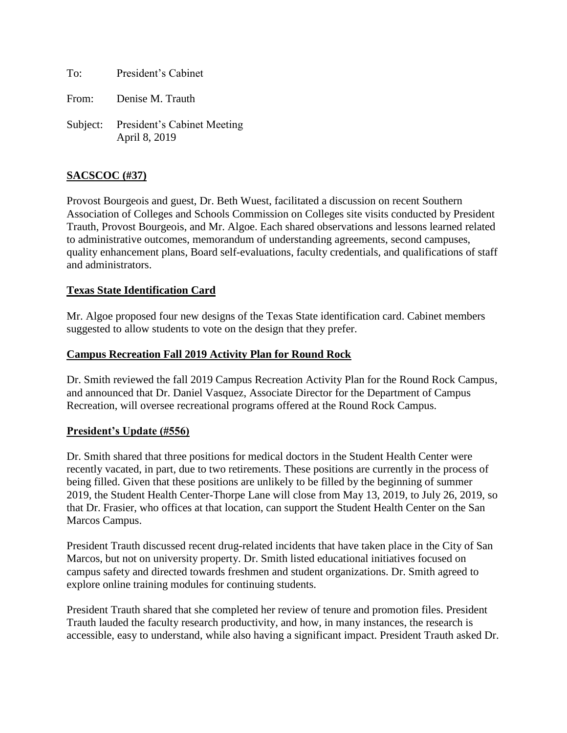To: President's Cabinet

From: Denise M. Trauth

Subject: President's Cabinet Meeting April 8, 2019

#### **SACSCOC (#37)**

Provost Bourgeois and guest, Dr. Beth Wuest, facilitated a discussion on recent Southern Association of Colleges and Schools Commission on Colleges site visits conducted by President Trauth, Provost Bourgeois, and Mr. Algoe. Each shared observations and lessons learned related to administrative outcomes, memorandum of understanding agreements, second campuses, quality enhancement plans, Board self-evaluations, faculty credentials, and qualifications of staff and administrators.

#### **Texas State Identification Card**

Mr. Algoe proposed four new designs of the Texas State identification card. Cabinet members suggested to allow students to vote on the design that they prefer.

#### **Campus Recreation Fall 2019 Activity Plan for Round Rock**

Dr. Smith reviewed the fall 2019 Campus Recreation Activity Plan for the Round Rock Campus, and announced that Dr. Daniel Vasquez, Associate Director for the Department of Campus Recreation, will oversee recreational programs offered at the Round Rock Campus.

## **President's Update (#556)**

Dr. Smith shared that three positions for medical doctors in the Student Health Center were recently vacated, in part, due to two retirements. These positions are currently in the process of being filled. Given that these positions are unlikely to be filled by the beginning of summer 2019, the Student Health Center-Thorpe Lane will close from May 13, 2019, to July 26, 2019, so that Dr. Frasier, who offices at that location, can support the Student Health Center on the San Marcos Campus.

President Trauth discussed recent drug-related incidents that have taken place in the City of San Marcos, but not on university property. Dr. Smith listed educational initiatives focused on campus safety and directed towards freshmen and student organizations. Dr. Smith agreed to explore online training modules for continuing students.

President Trauth shared that she completed her review of tenure and promotion files. President Trauth lauded the faculty research productivity, and how, in many instances, the research is accessible, easy to understand, while also having a significant impact. President Trauth asked Dr.